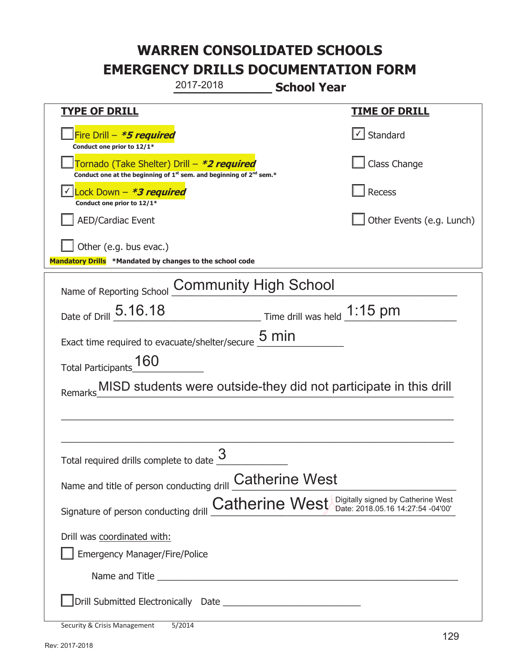**\_\_\_\_\_\_\_\_\_\_\_\_\_ School Year TYPE OF DRILL TIME OF DRILL**  侊Fire Drill – **\*5 required Conduct one prior to 12/1\***   $\boxed{\checkmark}$  Standard 侊Tornado (Take Shelter) Drill – **\*2 required Conduct one at the beginning of 1<sup>st</sup> sem. and beginning of 2<sup>nd</sup> sem.\*** Class Change 侊Lock Down – **\*3 required** ✔ **Conduct one prior to 12/1\* Recess** AED/Cardiac Event **AED/Cardiac Event Network Network Network Network Network Network Network Network Network Network Network Network Network Network Network Network Network Network Net** Other (e.g. bus evac.) **Mandatory Drills \*Mandated by changes to the school code**  Name of Reporting School **Community High School** Date of Drill  $\frac{5.16.18}{...}$  Time drill was held  $\frac{1:15 \text{ pm}}{...}$ Exact time required to evacuate/shelter/secure  $\frac{5 \text{ min}}{2}$ Total Participants\_160 Remarks\_MISD students were outside-they did not participate in this drill  $\_$  , and the set of the set of the set of the set of the set of the set of the set of the set of the set of the set of the set of the set of the set of the set of the set of the set of the set of the set of the set of th \_\_\_\_\_\_\_\_\_\_\_\_\_\_\_\_\_\_\_\_\_\_\_\_\_\_\_\_\_\_\_\_\_\_\_\_\_\_\_\_\_\_\_\_\_\_\_\_\_\_\_\_\_\_\_\_\_\_\_\_\_\_\_\_\_\_\_\_\_\_\_\_\_\_\_\_\_ Total required drills complete to date  $\frac{3}{2}$ Name and title of person conducting drill **Catherine West** Signature of person conducting drill **Catherine West** Digitally signed by Catherine West Signature of person conducting drill Drill was coordinated with: ܆ Emergency Manager/Fire/Police Name and Title **Example 20** and  $\overline{a}$  and  $\overline{b}$  and  $\overline{c}$  and  $\overline{d}$  and  $\overline{c}$  and  $\overline{c}$  and  $\overline{c}$  and  $\overline{c}$  and  $\overline{c}$  and  $\overline{c}$  and  $\overline{c}$  and  $\overline{c}$  and  $\overline{c}$  and  $\overline{c}$  and  $\overline{c}$ ܆Drill Submitted Electronically Date \_\_\_\_\_\_\_\_\_\_\_\_\_\_\_\_\_\_\_\_\_\_\_\_\_\_\_ 2017-2018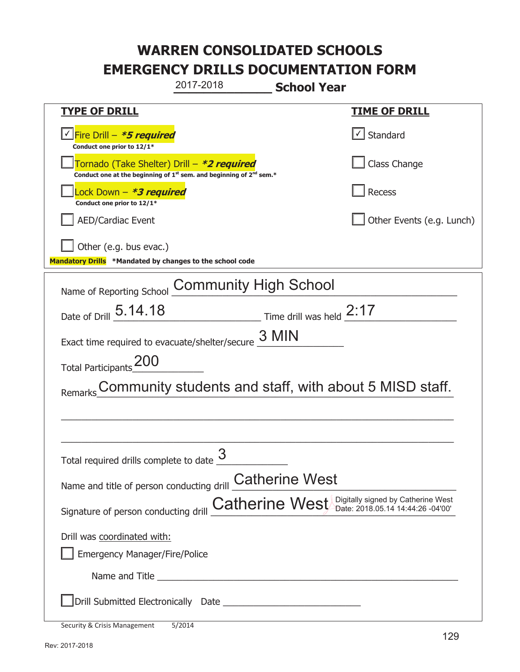**\_\_\_\_\_\_\_\_\_\_\_\_\_ School Year TYPE OF DRILL TIME OF DRILL**  <mark>▽ Fire Drill – *\*5 required* マイクレント マイクレント マイクレント マイクレント マイクレント マイクレント マイクレント マイクレント</mark> **Conduct one prior to 12/1\***   $\boxed{\sqrt}$  Standard 侊Tornado (Take Shelter) Drill – **\*2 required** Conduct one at the beginning of 1<sup>st</sup> sem. and beginning of 2<sup>nd</sup> sem.\* Class Change 侊Lock Down – **\*3 required Conduct one prior to 12/1\* Recess** AED/Cardiac Event and a set of the set of the set of the United States (e.g. Lunch) Other (e.g. bus evac.) **Mandatory Drills \*Mandated by changes to the school code**  Name of Reporting School **Community High School** Date of Drill  $\frac{5.14.18}{...}$  Time drill was held  $\frac{2:17}{...}$ Exact time required to evacuate/shelter/secure  $\frac{3 \text{ MIN}}{2}$ Total Participants 200 Remarks Community students and staff, with about 5 MISD staff.  $\_$  , and the set of the set of the set of the set of the set of the set of the set of the set of the set of the set of the set of the set of the set of the set of the set of the set of the set of the set of the set of th \_\_\_\_\_\_\_\_\_\_\_\_\_\_\_\_\_\_\_\_\_\_\_\_\_\_\_\_\_\_\_\_\_\_\_\_\_\_\_\_\_\_\_\_\_\_\_\_\_\_\_\_\_\_\_\_\_\_\_\_\_\_\_\_\_\_\_\_\_\_\_\_\_\_\_\_\_ Total required drills complete to date  $\frac{3}{2}$ Name and title of person conducting drill **Catherine West** Signature of person conducting drill **Catherine West** Digitally signed by Catherine West Signature of person conducting drill Drill was coordinated with: ܆ Emergency Manager/Fire/Police Name and Title **Example 20** and  $\overline{a}$  and  $\overline{b}$  and  $\overline{c}$  and  $\overline{d}$  and  $\overline{c}$  and  $\overline{c}$  and  $\overline{c}$  and  $\overline{c}$  and  $\overline{c}$  and  $\overline{c}$  and  $\overline{c}$  and  $\overline{c}$  and  $\overline{c}$  and  $\overline{c}$  and  $\overline{c}$ ܆Drill Submitted Electronically Date \_\_\_\_\_\_\_\_\_\_\_\_\_\_\_\_\_\_\_\_\_\_\_\_\_\_\_ 2017-2018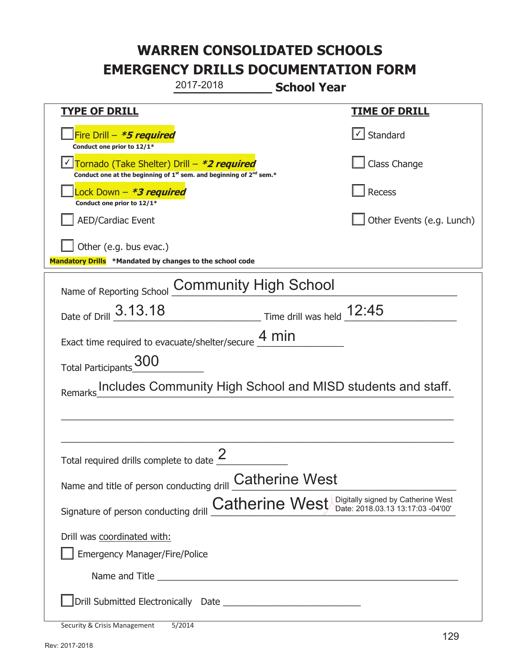|                                                                                                                                           | 2017-2018                    | <b>School Year</b>          |                           |  |
|-------------------------------------------------------------------------------------------------------------------------------------------|------------------------------|-----------------------------|---------------------------|--|
| <b>TYPE OF DRILL</b>                                                                                                                      |                              |                             | <u>TIME OF DRILL</u>      |  |
| Fire Drill - *5 required<br>Conduct one prior to 12/1*                                                                                    |                              |                             | $\vert$ Standard          |  |
| Tornado (Take Shelter) Drill – *2 required<br>Conduct one at the beginning of 1 <sup>st</sup> sem. and beginning of 2 <sup>nd</sup> sem.* |                              |                             | Class Change              |  |
| Lock Down – <b><i>*3 required</i></b><br>Conduct one prior to 12/1*                                                                       |                              |                             | Recess                    |  |
| <b>AED/Cardiac Event</b>                                                                                                                  |                              |                             | Other Events (e.g. Lunch) |  |
| Other (e.g. bus evac.)<br>Mandatory Drills *Mandated by changes to the school code                                                        |                              |                             |                           |  |
| Name of Reporting School                                                                                                                  | <b>Community High School</b> |                             |                           |  |
| Date of Drill 3.13.18                                                                                                                     |                              | Time drill was held $12:45$ |                           |  |
| Exact time required to evacuate/shelter/secure $\underline{4}$ min                                                                        |                              |                             |                           |  |
| Total Participants_300                                                                                                                    |                              |                             |                           |  |
| Remarks Includes Community High School and MISD students and staff.                                                                       |                              |                             |                           |  |
|                                                                                                                                           |                              |                             |                           |  |
|                                                                                                                                           |                              |                             |                           |  |
| Total required drills complete to date $\leq$                                                                                             | 2                            |                             |                           |  |
| Name and title of person conducting drill <b>Catherine West</b>                                                                           |                              |                             |                           |  |
| Signature of person conducting drill <b>Catherine West</b> Digitally signed by Catherine West                                             |                              |                             |                           |  |
| Drill was coordinated with:                                                                                                               |                              |                             |                           |  |
| <b>Emergency Manager/Fire/Police</b>                                                                                                      |                              |                             |                           |  |
|                                                                                                                                           |                              |                             |                           |  |
|                                                                                                                                           |                              |                             |                           |  |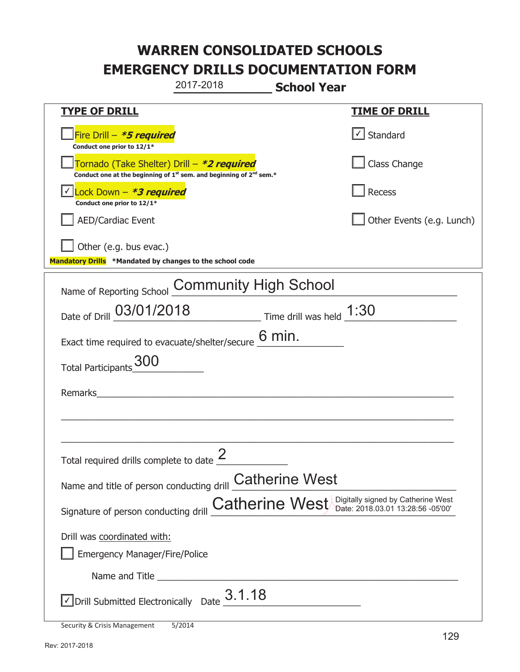**\_\_\_\_\_\_\_\_\_\_\_\_\_ School Year TYPE OF DRILL TIME OF DRILL**  侊Fire Drill – **\*5 required Conduct one prior to 12/1\***   $\boxed{\checkmark}$  Standard 侊Tornado (Take Shelter) Drill – **\*2 required Conduct one at the beginning of 1<sup>st</sup> sem. and beginning of 2<sup>nd</sup> sem.\*** Class Change 侊Lock Down – **\*3 required** ✔ **Conduct one prior to 12/1\* Recess** AED/Cardiac Event **AED/Cardiac Event Network Network Network Network Network Network Network Network Network Network Network Network Network Network Network Network Network Network Net** Other (e.g. bus evac.) **Mandatory Drills \*Mandated by changes to the school code**  Name of Reporting School **Community High School** Date of Drill  $\frac{03/01/2018}{2}$  Time drill was held  $\frac{1:30}{2}$ Exact time required to evacuate/shelter/secure  $6$  min. Total Participants 300 Remarks  $\_$  , and the set of the set of the set of the set of the set of the set of the set of the set of the set of the set of the set of the set of the set of the set of the set of the set of the set of the set of the set of th \_\_\_\_\_\_\_\_\_\_\_\_\_\_\_\_\_\_\_\_\_\_\_\_\_\_\_\_\_\_\_\_\_\_\_\_\_\_\_\_\_\_\_\_\_\_\_\_\_\_\_\_\_\_\_\_\_\_\_\_\_\_\_\_\_\_\_\_\_\_\_\_\_\_\_\_\_ Total required drills complete to date  $\frac{2}{\sqrt{2}}$ Name and title of person conducting drill **Catherine West** Signature of person conducting drill **Catherine West** Digitally signed by Catherine West Signature of person conducting drill Drill was coordinated with: ܆ Emergency Manager/Fire/Police Name and Title **Example 20**  $\sqrt{2}$  Drill Submitted Electronically Date  $3.1.18$ 2017-2018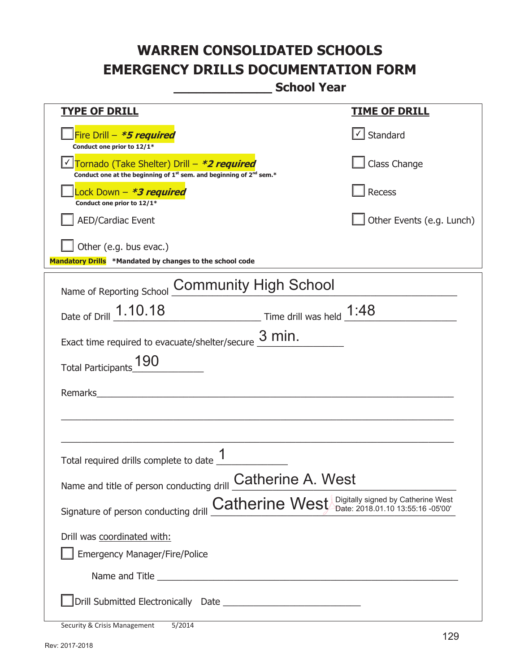**\_\_\_\_\_\_\_\_\_\_\_\_\_ School Year** 

| <u>TYPE OF DRILL</u>                                                                                                                      | <u>TIME OF DRILL</u>                                                    |  |  |  |
|-------------------------------------------------------------------------------------------------------------------------------------------|-------------------------------------------------------------------------|--|--|--|
| Fire Drill $-$ <b>*5 required</b><br>Conduct one prior to 12/1*                                                                           | √ Standard                                                              |  |  |  |
| Tornado (Take Shelter) Drill – *2 required<br>Conduct one at the beginning of 1 <sup>st</sup> sem. and beginning of 2 <sup>nd</sup> sem.* | <b>Class Change</b>                                                     |  |  |  |
| Lock Down - *3 required<br>Conduct one prior to 12/1*                                                                                     | <b>Recess</b>                                                           |  |  |  |
| <b>AED/Cardiac Event</b>                                                                                                                  | Other Events (e.g. Lunch)                                               |  |  |  |
| Other (e.g. bus evac.)<br>Mandatory Drills *Mandated by changes to the school code                                                        |                                                                         |  |  |  |
| <b>Community High School</b>                                                                                                              |                                                                         |  |  |  |
| Name of Reporting School                                                                                                                  |                                                                         |  |  |  |
| Date of Drill 1.10.18<br>$\frac{1.48}{2.40}$ Time drill was held $\frac{1.48}{2.40}$                                                      |                                                                         |  |  |  |
| Exact time required to evacuate/shelter/secure $\frac{3}{2}$ min.                                                                         |                                                                         |  |  |  |
|                                                                                                                                           |                                                                         |  |  |  |
| <b>Total Participants</b>                                                                                                                 |                                                                         |  |  |  |
| Remarks                                                                                                                                   |                                                                         |  |  |  |
|                                                                                                                                           |                                                                         |  |  |  |
|                                                                                                                                           |                                                                         |  |  |  |
| Total required drills complete to date                                                                                                    |                                                                         |  |  |  |
| Name and title of person conducting drill <b>Catherine A. West</b>                                                                        |                                                                         |  |  |  |
| Signature of person conducting drill <b>Catherine West</b>                                                                                | Digitally signed by Catherine West<br>Date: 2018.01.10 13:55:16 -05'00' |  |  |  |
| Drill was coordinated with:                                                                                                               |                                                                         |  |  |  |
| <b>Emergency Manager/Fire/Police</b>                                                                                                      |                                                                         |  |  |  |
|                                                                                                                                           |                                                                         |  |  |  |
|                                                                                                                                           |                                                                         |  |  |  |

Security & Crisis Management 5/2014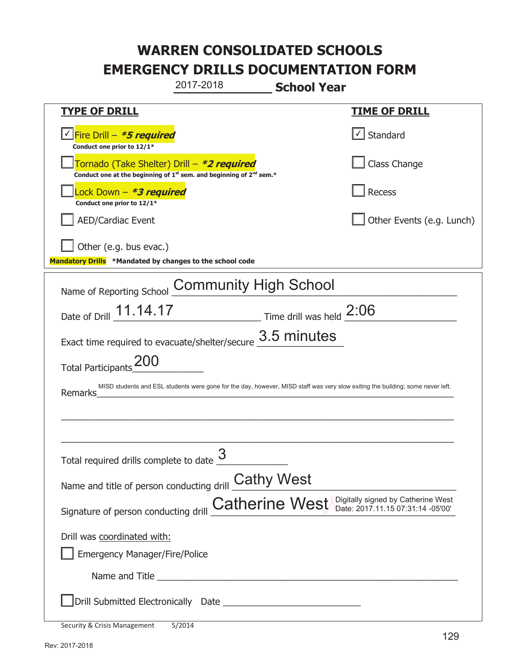**\_\_\_\_\_\_\_\_\_\_\_\_\_ School Year TYPE OF DRILL TIME OF DRILL**  <mark>▽ Fire Drill – *\*5 required* マイクレント マイクレント マイクレント マイクレント マイクレント マイクレント マイクレント マイクレント</mark> **Conduct one prior to 12/1\***   $\boxed{\sqrt}$  Standard 侊Tornado (Take Shelter) Drill – **\*2 required Conduct one at the beginning of 1<sup>st</sup> sem. and beginning of 2<sup>nd</sup> sem.\*** Class Change 侊Lock Down – **\*3 required Conduct one prior to 12/1\* Recess** AED/Cardiac Event **AED/Cardiac Event Network Network Network Network Network Network Network Network Network Network Network Network Network Network Network Network Network Network Net** Other (e.g. bus evac.) **Mandatory Drills \*Mandated by changes to the school code**  Name of Reporting School **Community High School** Date of Drill  $\frac{11.14.17}{...}$  Time drill was held  $\frac{2:06}{...}$ Exact time required to evacuate/shelter/secure  $3.5$  minutes Total Participants 200 Remarks\_\_\_\_\_\_\_\_\_\_\_\_\_\_\_\_\_\_\_\_\_\_\_\_\_\_\_\_\_\_\_\_\_\_\_\_\_\_\_\_\_\_\_\_\_\_\_\_\_\_\_\_\_\_\_\_\_\_\_\_\_\_\_\_\_\_\_\_\_\_  $\_$  , and the set of the set of the set of the set of the set of the set of the set of the set of the set of the set of the set of the set of the set of the set of the set of the set of the set of the set of the set of th \_\_\_\_\_\_\_\_\_\_\_\_\_\_\_\_\_\_\_\_\_\_\_\_\_\_\_\_\_\_\_\_\_\_\_\_\_\_\_\_\_\_\_\_\_\_\_\_\_\_\_\_\_\_\_\_\_\_\_\_\_\_\_\_\_\_\_\_\_\_\_\_\_\_\_\_\_ Total required drills complete to date  $\frac{3}{2}$ Name and title of person conducting drill **Cathy West** Signature of person conducting drill **Catherine West** Digitally signed by Catherine West Signature of person conducting drill Drill was coordinated with: ܆ Emergency Manager/Fire/Police Name and Title **Example 20** ܆Drill Submitted Electronically Date \_\_\_\_\_\_\_\_\_\_\_\_\_\_\_\_\_\_\_\_\_\_\_\_\_\_\_ 2017-2018 MISD students and ESL students were gone for the day, however, MISD staff was very slow exiting the building; some never left.<br>Remarks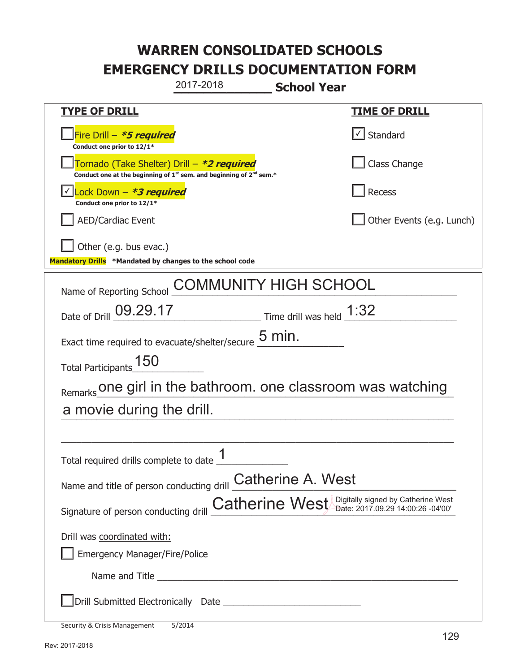**\_\_\_\_\_\_\_\_\_\_\_\_\_ School Year TYPE OF DRILL TIME OF DRILL**  侊Fire Drill – **\*5 required Conduct one prior to 12/1\***   $\boxed{\checkmark}$  Standard 侊Tornado (Take Shelter) Drill – **\*2 required** Conduct one at the beginning of 1<sup>st</sup> sem. and beginning of 2<sup>nd</sup> sem.\* Class Change 侊Lock Down – **\*3 required** ✔ **Conduct one prior to 12/1\* Recess** AED/Cardiac Event **AED/Cardiac Event Network Network Network Network Network Network Network Network Network Network Network Network Network Network Network Network Network Network Net** Other (e.g. bus evac.) **Mandatory Drills \*Mandated by changes to the school code**  Name of Reporting School COMMUNITY HIGH SCHOOL Date of Drill  $\overline{09.29.17}$  Time drill was held  $\overline{1:32}$ Exact time required to evacuate/shelter/secure  $\frac{5 \text{ min.}}{2}$ Total Participants\_150\_\_\_\_\_\_\_\_\_\_ Remarks one girl in the bathroom. one classroom was watching a movie during the drill. \_\_\_\_\_\_\_\_\_\_\_\_\_\_\_\_\_\_\_\_\_\_\_\_\_\_\_\_\_\_\_\_\_\_\_\_\_\_\_\_\_\_\_\_\_\_\_\_\_\_\_\_\_\_\_\_\_\_\_\_\_\_\_\_\_\_\_\_\_\_\_\_\_\_\_\_\_ Total required drills complete to date  $\frac{1}{\sqrt{1-\frac{1}{2}}\cdot\frac{1}{\sqrt{1-\frac{1}{2}}\cdot\frac{1}{\sqrt{1-\frac{1}{2}}\cdot\frac{1}{\sqrt{1-\frac{1}{2}}\cdot\frac{1}{\sqrt{1-\frac{1}{2}}\cdot\frac{1}{\sqrt{1-\frac{1}{2}}\cdot\frac{1}{\sqrt{1-\frac{1}{2}}\cdot\frac{1}{\sqrt{1-\frac{1}{2}}\cdot\frac{1}{\sqrt{1-\frac{1}{2}}\cdot\frac{1}{\sqrt{1-\frac{1}{2}}\cdot\$ Name and title of person conducting drill **Catherine A. West** Signature of person conducting drill **Catherine West** Digitally signed by Catherine West Signature of person conducting drill Drill was coordinated with: ܆ Emergency Manager/Fire/Police Name and Title **Example 20** Drill Submitted Electronically Date 2017-2018